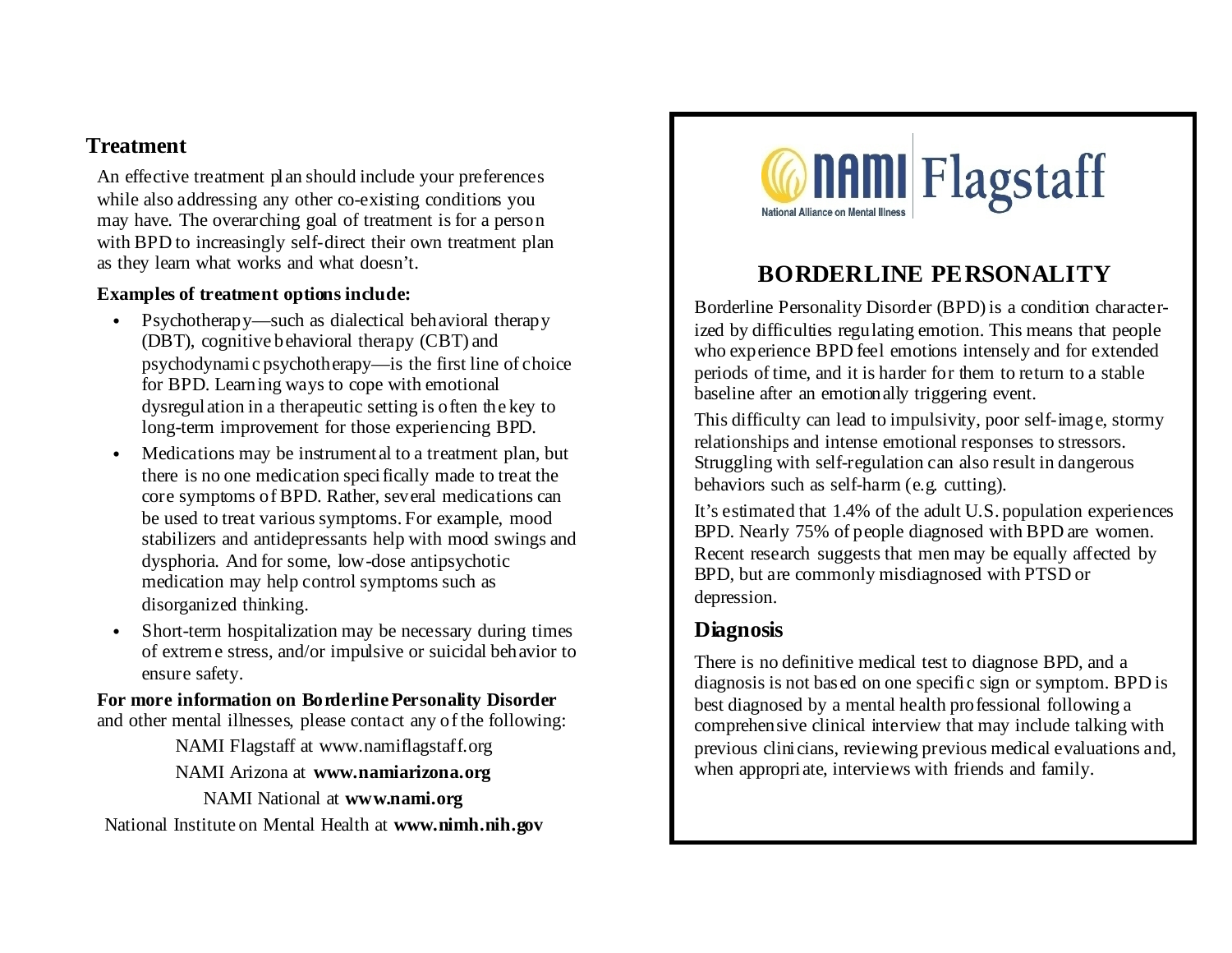### **Treatment**

An effective treatment plan should include your preferences while also addressing any other co-existing conditions you may have. The overarching goal of treatment is for a person with BPD to increasingly self-direct their own treatment plan as they learn what works and what doesn't.

#### **Examples of treatment options include:**

- Psychotherapy—such as dialectical behavioral therapy (DBT), cognitive behavioral therapy (CBT) and psychodynamic psychotherapy—is the first line of choice for BPD. Learning ways to cope with emotional dysregulation in a therapeutic setting is often the key to long-term improvement for those experiencing BPD.
- Medications may be instrument al to a treatment plan, but there is no one medication specifically made to treat the core symptoms of BPD. Rather, several medications can be used to treat various symptoms. For example, mood stabilizers and antidepressants help with mood swings and dysphoria. And for some, low-dose antipsychotic medication may help control symptoms such as disorganized thinking.
- Short-term hospitalization may be necessary during times of extreme stress, and/or impulsive or suicidal behavior to ensure safety.

#### **For more information on Borderline Personality Disorder** and other mental illnesses, please contact any of the following:

NAMI Flagstaff at www.namiflagstaff.org NAMI Arizona at **www.namiarizona.org** NAMI National at **www.nami.org** National Institute on Mental Health at **www.nimh.nih.gov**



# **BORDERLINE PERSONALITY**

Borderline Personality Disorder (BPD) is a condition characterized by difficulties regulating emotion. This means that people who experience BPD feel emotions intensely and for extended periods of time, and it is harder for them to return to a stable baseline after an emotionally triggering event.

This difficulty can lead to impulsivity, poor self-image, stormy relationships and intense emotional responses to stressors. Struggling with self-regulation can also result in dangerous behaviors such as self-harm (e.g. cutting).

It's estimated that 1.4% of the adult U.S. population experiences BPD. Nearly 75% of people diagnosed with BPD are women. Recent research suggests that men may be equally affected by BPD, but are commonly misdiagnosed with PTSD or depression.

# **Diagnosis**

There is no definitive medical test to diagnose BPD, and a diagnosis is not based on one specific sign or symptom. BPD is best diagnosed by a mental health professional following a comprehensive clinical interview that may include talking with previous clinicians, reviewing previous medical evaluations and, when appropriate, interviews with friends and family.